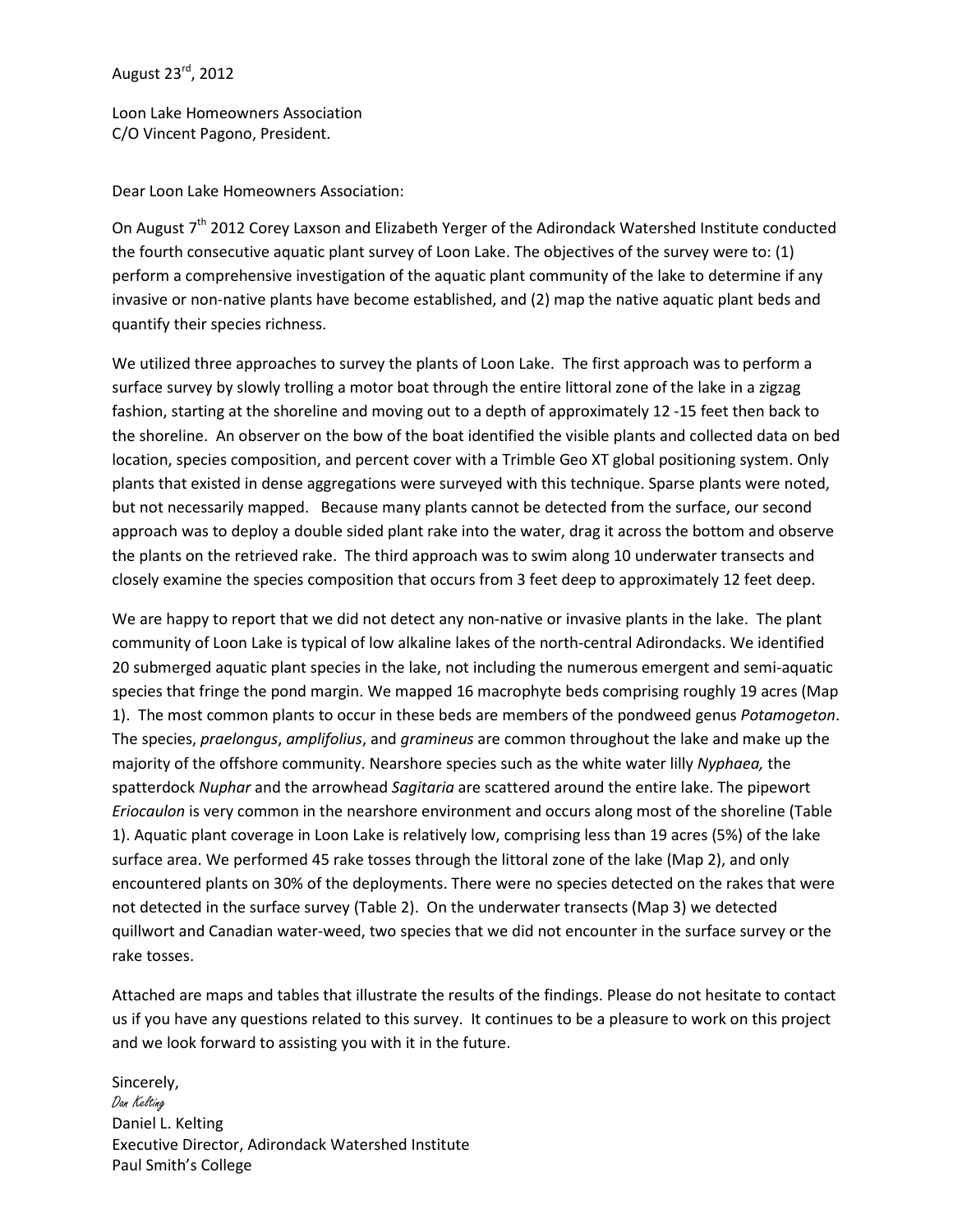## August 23rd, 2012

Loon Lake Homeowners Association C/O Vincent Pagono, President.

Dear Loon Lake Homeowners Association:

On August 7<sup>th</sup> 2012 Corey Laxson and Elizabeth Yerger of the Adirondack Watershed Institute conducted the fourth consecutive aquatic plant survey of Loon Lake. The objectives of the survey were to: (1) perform a comprehensive investigation of the aquatic plant community of the lake to determine if any invasive or non-native plants have become established, and (2) map the native aquatic plant beds and quantify their species richness.

We utilized three approaches to survey the plants of Loon Lake. The first approach was to perform a surface survey by slowly trolling a motor boat through the entire littoral zone of the lake in a zigzag fashion, starting at the shoreline and moving out to a depth of approximately 12 -15 feet then back to the shoreline. An observer on the bow of the boat identified the visible plants and collected data on bed location, species composition, and percent cover with a Trimble Geo XT global positioning system. Only plants that existed in dense aggregations were surveyed with this technique. Sparse plants were noted, but not necessarily mapped. Because many plants cannot be detected from the surface, our second approach was to deploy a double sided plant rake into the water, drag it across the bottom and observe the plants on the retrieved rake. The third approach was to swim along 10 underwater transects and closely examine the species composition that occurs from 3 feet deep to approximately 12 feet deep.

We are happy to report that we did not detect any non-native or invasive plants in the lake. The plant community of Loon Lake is typical of low alkaline lakes of the north-central Adirondacks. We identified 20 submerged aquatic plant species in the lake, not including the numerous emergent and semi-aquatic species that fringe the pond margin. We mapped 16 macrophyte beds comprising roughly 19 acres (Map 1). The most common plants to occur in these beds are members of the pondweed genus *Potamogeton*. The species, *praelongus*, *amplifolius*, and *gramineus* are common throughout the lake and make up the majority of the offshore community. Nearshore species such as the white water lilly *Nyphaea,* the spatterdock *Nuphar* and the arrowhead *Sagitaria* are scattered around the entire lake. The pipewort *Eriocaulon* is very common in the nearshore environment and occurs along most of the shoreline (Table 1). Aquatic plant coverage in Loon Lake is relatively low, comprising less than 19 acres (5%) of the lake surface area. We performed 45 rake tosses through the littoral zone of the lake (Map 2), and only encountered plants on 30% of the deployments. There were no species detected on the rakes that were not detected in the surface survey (Table 2). On the underwater transects (Map 3) we detected quillwort and Canadian water-weed, two species that we did not encounter in the surface survey or the rake tosses.

Attached are maps and tables that illustrate the results of the findings. Please do not hesitate to contact us if you have any questions related to this survey. It continues to be a pleasure to work on this project and we look forward to assisting you with it in the future.

Sincerely, Dan Kelting Daniel L. Kelting Executive Director, Adirondack Watershed Institute Paul Smith's College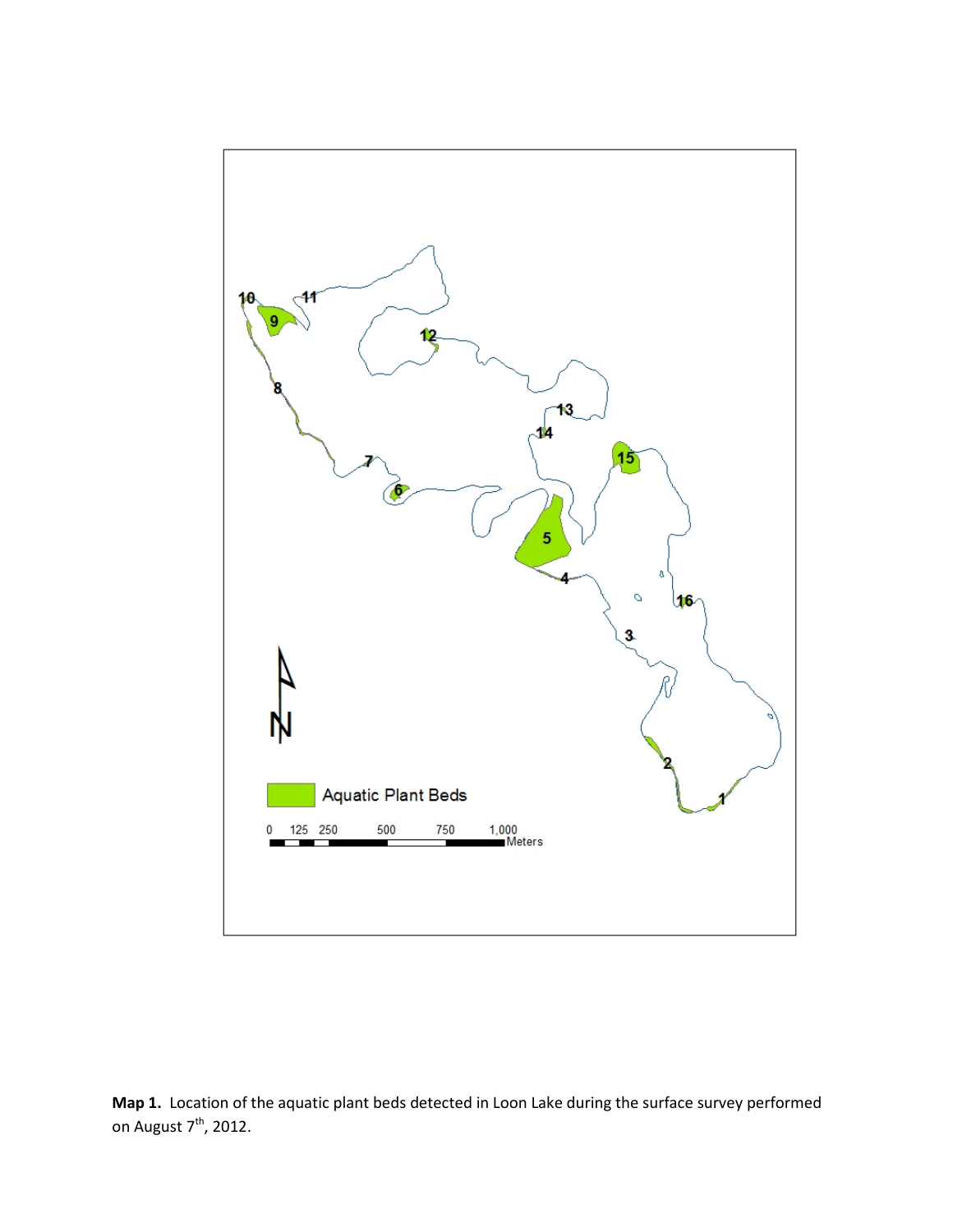

**Map 1.** Location of the aquatic plant beds detected in Loon Lake during the surface survey performed on August 7<sup>th</sup>, 2012.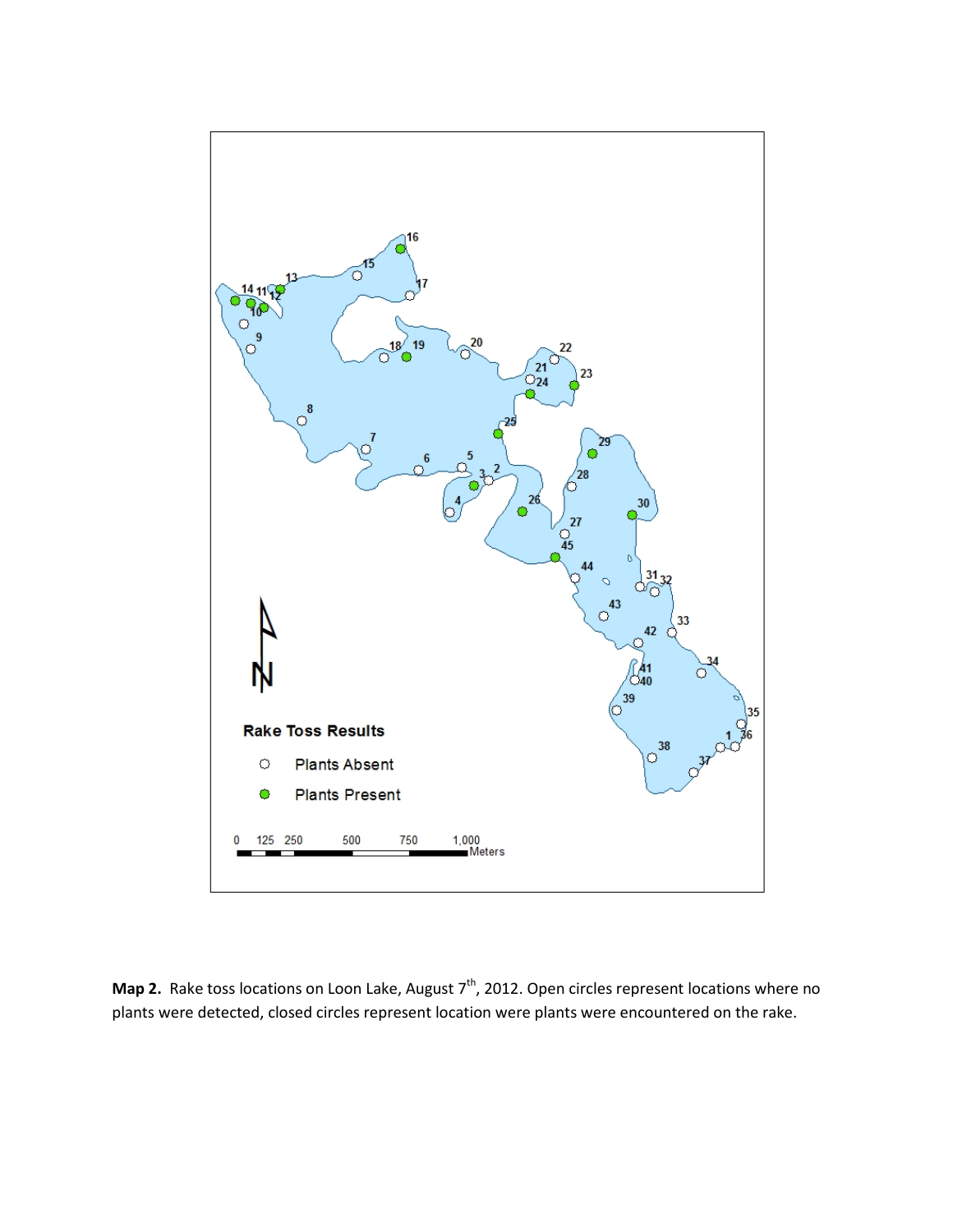

Map 2. Rake toss locations on Loon Lake, August 7<sup>th</sup>, 2012. Open circles represent locations where no plants were detected, closed circles represent location were plants were encountered on the rake.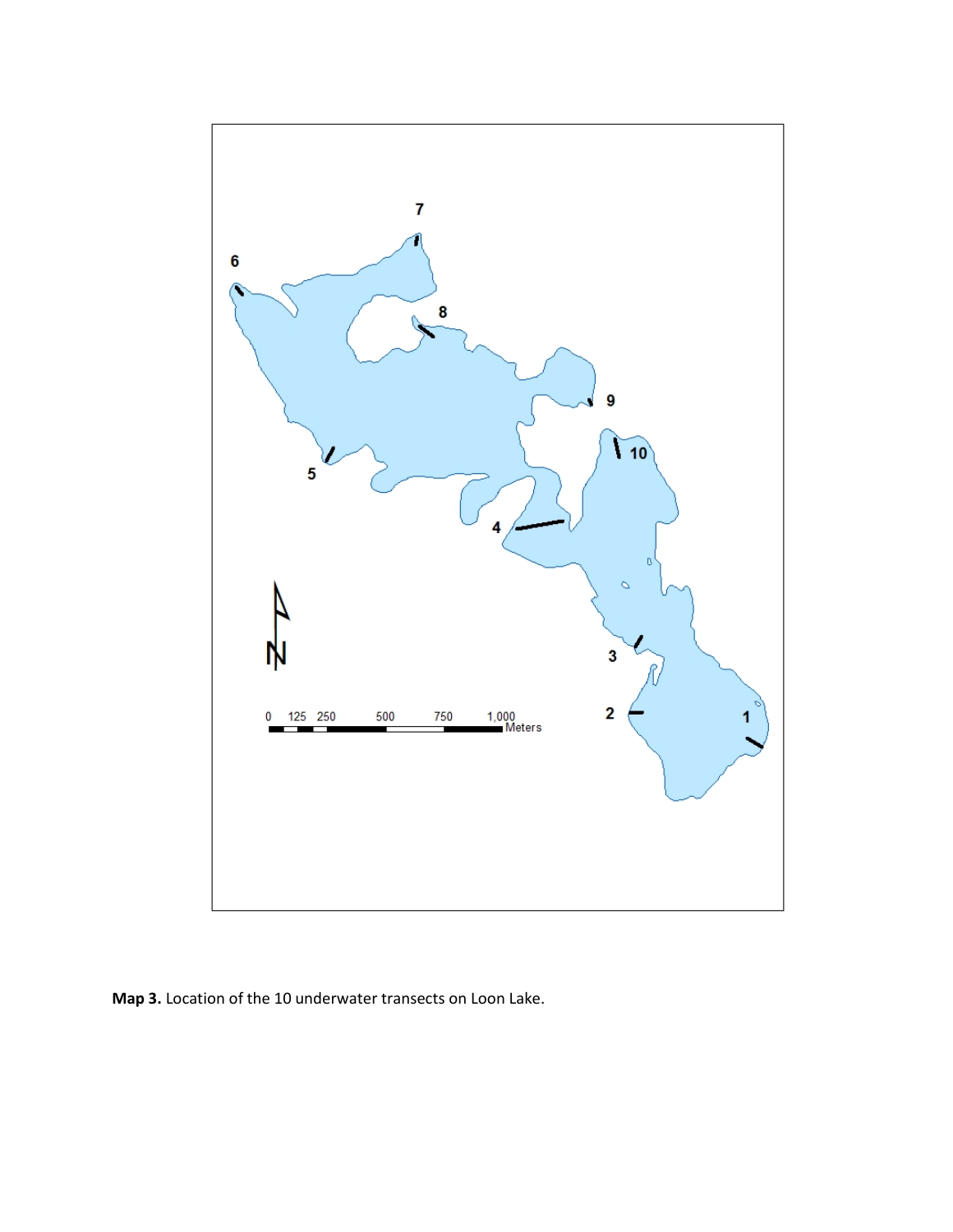

**Map 3.** Location of the 10 underwater transects on Loon Lake.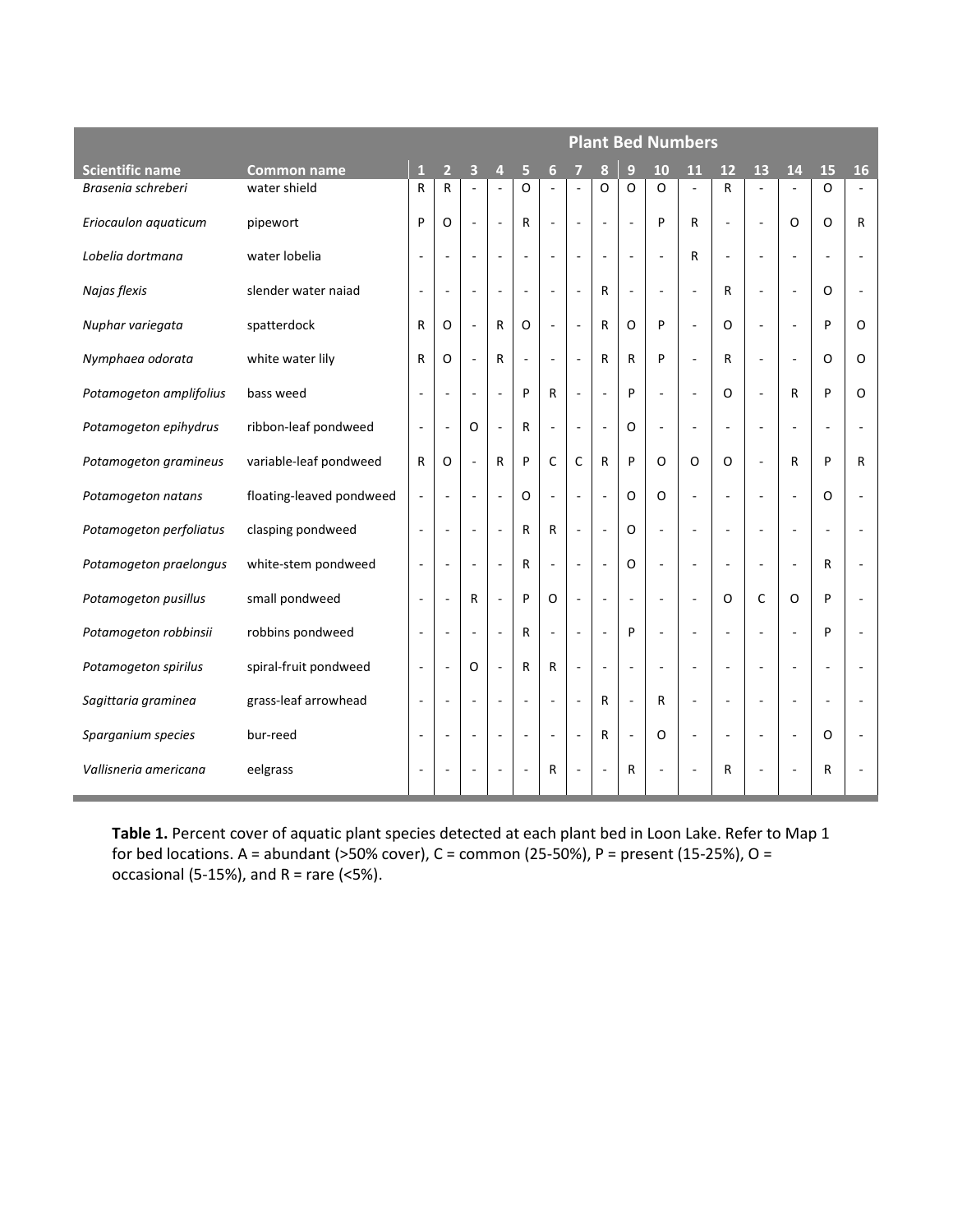|                         |                          | <b>Plant Bed Numbers</b> |                          |                          |                          |                |                          |                          |                |                          |                          |                          |                          |                          |                          |         |                |
|-------------------------|--------------------------|--------------------------|--------------------------|--------------------------|--------------------------|----------------|--------------------------|--------------------------|----------------|--------------------------|--------------------------|--------------------------|--------------------------|--------------------------|--------------------------|---------|----------------|
| <b>Scientific name</b>  | <b>Common name</b>       | $\mathbf{1}$             | $\overline{2}$           | 3                        | 4                        | 5              | 6                        | 7                        | 8              | 9                        | 10                       | 11                       | 12                       | 13                       | 14                       | 15      | 16             |
| Brasenia schreberi      | water shield             | R                        | ${\sf R}$                | $\overline{a}$           | J.                       | O              | L,                       | L,                       | O              | $\circ$                  | O                        | $\overline{\phantom{a}}$ | R                        | L,                       |                          | O       | $\overline{a}$ |
| Eriocaulon aquaticum    | pipewort                 | P                        | $\mathsf O$              | ÷,                       | ÷,                       | R              | $\frac{1}{2}$            | $\overline{a}$           | ÷,             | ÷,                       | P                        | R                        | ÷,                       | ä,                       | O                        | $\circ$ | R              |
| Lobelia dortmana        | water lobelia            | ÷                        | $\overline{\phantom{a}}$ | ÷,                       | $\overline{\phantom{a}}$ | $\overline{a}$ | $\Box$                   | $\overline{\phantom{a}}$ | ÷,             | ÷,                       | ÷,                       | R                        | ÷,                       | ÷,                       | $\overline{\phantom{a}}$ | ÷,      | ä,             |
| Najas flexis            | slender water naiad      | $\overline{a}$           | $\overline{\phantom{a}}$ | $\overline{\phantom{a}}$ | $\overline{\phantom{a}}$ | ÷,             | $\blacksquare$           | ÷,                       | R              | $\overline{\phantom{a}}$ | $\overline{\phantom{a}}$ | $\overline{\phantom{a}}$ | R                        | ÷,                       | $\overline{\phantom{a}}$ | $\circ$ | ä,             |
| Nuphar variegata        | spatterdock              | R                        | O                        | L.                       | R                        | $\circ$        | $\overline{\phantom{a}}$ | $\overline{\phantom{a}}$ | R              | O                        | P                        | ä,                       | O                        | ÷,                       | $\sim$                   | P       | O              |
| Nymphaea odorata        | white water lily         | R                        | O                        | L.                       | R                        |                | L,                       | $\overline{\phantom{a}}$ | R              | R                        | P                        | ä,                       | $\mathsf{R}$             | ÷,                       |                          | O       | O              |
| Potamogeton amplifolius | bass weed                | ٠                        | $\overline{\phantom{a}}$ | ÷,                       | $\sim$                   | P              | R                        | $\overline{\phantom{a}}$ | $\overline{a}$ | P                        | $\overline{\phantom{a}}$ | $\overline{\phantom{a}}$ | $\Omega$                 | J.                       | R                        | P       | O              |
| Potamogeton epihydrus   | ribbon-leaf pondweed     | $\blacksquare$           | $\Box$                   | O                        | $\overline{\phantom{a}}$ | R              | $\overline{\phantom{a}}$ | $\overline{\phantom{a}}$ | $\frac{1}{2}$  | O                        | $\overline{\phantom{a}}$ | $\overline{\phantom{a}}$ | $\overline{\phantom{a}}$ | ÷,                       | $\sim$                   | ÷.      | ä,             |
| Potamogeton gramineus   | variable-leaf pondweed   | R                        | O                        | $\overline{\phantom{a}}$ | R                        | P              | $\mathsf C$              | C                        | R              | P                        | O                        | $\Omega$                 | $\circ$                  | $\overline{\phantom{a}}$ | R                        | P       | R              |
| Potamogeton natans      | floating-leaved pondweed | ÷                        | $\overline{\phantom{a}}$ | ÷,                       | $\overline{\phantom{a}}$ | O              | $\blacksquare$           | $\Box$                   | ÷,             | O                        | $\circ$                  | $\Box$                   | ÷,                       | ÷,                       |                          | O       |                |
| Potamogeton perfoliatus | clasping pondweed        | ÷,                       | $\overline{\phantom{a}}$ | ÷,                       | $\sim$                   | R              | R                        | $\overline{\phantom{a}}$ | ÷,             | $\circ$                  | $\sim$                   | $\overline{\phantom{a}}$ | $\overline{a}$           | $\overline{\phantom{a}}$ |                          | ÷.      |                |
| Potamogeton praelongus  | white-stem pondweed      | ÷,                       | $\overline{\phantom{a}}$ | ÷,                       | ÷,                       | R              | $\Box$                   | $\overline{\phantom{a}}$ | $\overline{a}$ | $\circ$                  | $\overline{\phantom{a}}$ | $\overline{\phantom{a}}$ | $\overline{\phantom{a}}$ | $\overline{\phantom{a}}$ | $\overline{\phantom{a}}$ | R       | L,             |
| Potamogeton pusillus    | small pondweed           | ÷                        | $\overline{\phantom{a}}$ | R                        | $\overline{\phantom{a}}$ | P              | $\circ$                  | $\overline{\phantom{a}}$ | ÷,             | ÷,                       | $\sim$                   | $\Box$                   | $\circ$                  | C                        | O                        | P       |                |
| Potamogeton robbinsii   | robbins pondweed         | ÷                        | $\overline{\phantom{a}}$ | ÷,                       | $\overline{\phantom{a}}$ | R              | $\Box$                   | $\overline{\phantom{a}}$ | ÷,             | P                        | ÷,                       | $\overline{\phantom{a}}$ | $\overline{\phantom{a}}$ | $\overline{\phantom{a}}$ | $\overline{\phantom{a}}$ | P       |                |
| Potamogeton spirilus    | spiral-fruit pondweed    | ÷,                       | $\overline{\phantom{a}}$ | O                        | $\overline{\phantom{a}}$ | R              | R                        | ÷,                       | ÷,             | ÷,                       | $\overline{\phantom{a}}$ | $\overline{\phantom{a}}$ | ÷,                       | ÷,                       | $\overline{\phantom{a}}$ | ÷,      | ä,             |
| Sagittaria graminea     | grass-leaf arrowhead     |                          | $\overline{\phantom{a}}$ |                          | $\sim$                   |                | ÷,                       | ÷,                       | R              | ÷,                       | R                        | $\overline{\phantom{a}}$ | $\overline{a}$           | ÷,                       |                          | ÷,      |                |
| Sparganium species      | bur-reed                 |                          | $\overline{\phantom{a}}$ |                          | J.                       |                | ÷,                       | ÷,                       | R              | ÷,                       | O                        | ÷,                       | $\overline{\phantom{a}}$ | ä,                       |                          | O       |                |
| Vallisneria americana   | eelgrass                 | $\overline{a}$           | ÷.                       |                          | ÷.                       |                | R                        | $\overline{a}$           | $\overline{a}$ | R                        | $\sim$                   | ä,                       | R                        | $\overline{a}$           | $\sim$                   | R       | ä,             |

**Table 1.** Percent cover of aquatic plant species detected at each plant bed in Loon Lake. Refer to Map 1 for bed locations. A = abundant (>50% cover), C = common (25-50%), P = present (15-25%), O = occasional (5-15%), and  $R =$  rare (<5%).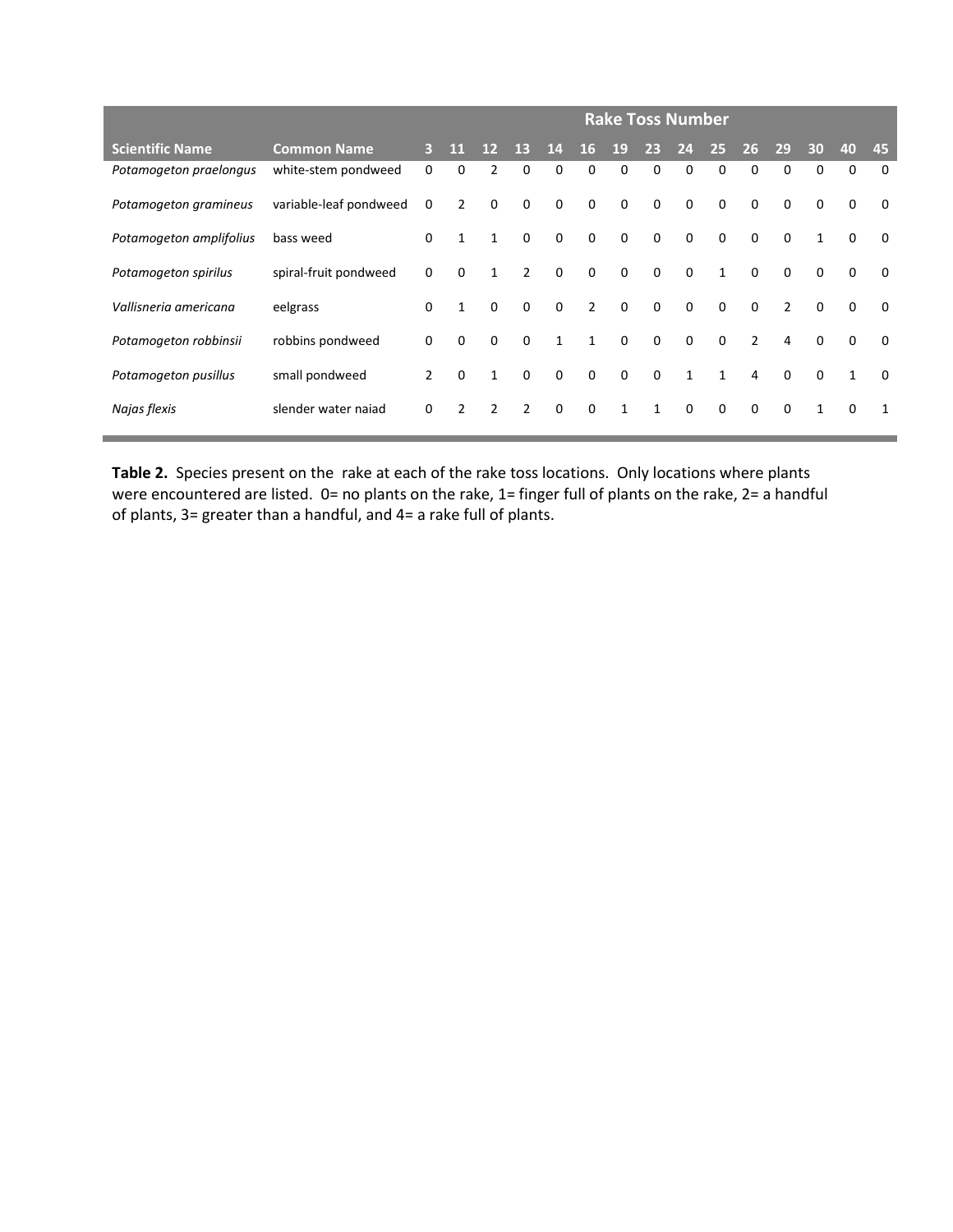|                         |                        | <b>Rake Toss Number</b> |                |                |                |             |                |             |             |              |              |                |                |              |             |             |
|-------------------------|------------------------|-------------------------|----------------|----------------|----------------|-------------|----------------|-------------|-------------|--------------|--------------|----------------|----------------|--------------|-------------|-------------|
| <b>Scientific Name</b>  | <b>Common Name</b>     | 3                       | 11             | 12             | 13             | <b>14</b>   | <b>16</b>      | <b>19</b>   | 23          | 24           | 25           | 26             | 29             | 30           | 40          | 45          |
| Potamogeton praelongus  | white-stem pondweed    | 0                       | 0              | $\overline{2}$ | 0              | $\Omega$    | 0              | 0           | 0           | 0            | $\mathbf 0$  | 0              | 0              | 0            | 0           | $\mathbf 0$ |
| Potamogeton gramineus   | variable-leaf pondweed | 0                       | $\overline{2}$ | $\mathbf 0$    | $\mathbf 0$    | 0           | 0              | $\mathbf 0$ | $\mathbf 0$ | $\mathbf 0$  | $\mathbf 0$  | $\mathbf{0}$   | $\mathbf 0$    | $\mathbf{0}$ | $\mathbf 0$ | $\mathbf 0$ |
| Potamogeton amplifolius | bass weed              | $\mathbf 0$             | $\mathbf{1}$   | $\mathbf{1}$   | $\mathbf 0$    | $\Omega$    | $\mathbf 0$    | $\mathbf 0$ | $\mathbf 0$ | $\mathbf 0$  | $\mathbf 0$  | $\Omega$       | $\mathbf 0$    | $\mathbf{1}$ | $\Omega$    | $\Omega$    |
| Potamogeton spirilus    | spiral-fruit pondweed  | $\Omega$                | $\mathbf 0$    | $\mathbf{1}$   | $\overline{2}$ | $\Omega$    | $\mathbf 0$    | $\mathbf 0$ | $\mathbf 0$ | $\mathbf 0$  | $\mathbf{1}$ | $\Omega$       | $\mathbf 0$    | $\mathbf{0}$ | $\Omega$    | $\Omega$    |
| Vallisneria americana   | eelgrass               | 0                       | $\mathbf{1}$   | $\mathbf 0$    | $\mathbf 0$    | $\mathbf 0$ | $\overline{2}$ | $\mathbf 0$ | $\mathbf 0$ | $\mathbf 0$  | $\mathbf 0$  | $\mathbf{0}$   | $\overline{2}$ | $\mathbf{0}$ | $\mathbf 0$ | $\Omega$    |
| Potamogeton robbinsii   | robbins pondweed       | $\Omega$                | $\Omega$       | $\Omega$       | $\Omega$       |             | $\mathbf{1}$   | $\Omega$    | $\mathbf 0$ | $\mathbf 0$  | $\mathbf 0$  | $\overline{2}$ | 4              | $\mathbf{0}$ | $\Omega$    | $\Omega$    |
| Potamogeton pusillus    | small pondweed         | $\mathfrak{p}$          | $\Omega$       | 1              | $\Omega$       | $\Omega$    | $\mathbf 0$    | $\mathbf 0$ | $\mathbf 0$ | $\mathbf{1}$ | $\mathbf{1}$ | 4              | $\mathbf 0$    | $\Omega$     |             | $\Omega$    |
| Najas flexis            | slender water najad    | $\mathbf 0$             | $\overline{2}$ | $\overline{2}$ | 2              | $\Omega$    | 0              | 1           | 1           | $\mathbf 0$  | 0            | $\Omega$       | $\mathbf 0$    | $\mathbf{1}$ | $\Omega$    | 1           |

**Table 2.** Species present on the rake at each of the rake toss locations. Only locations where plants were encountered are listed. 0= no plants on the rake, 1= finger full of plants on the rake, 2= a handful of plants, 3= greater than a handful, and 4= a rake full of plants.